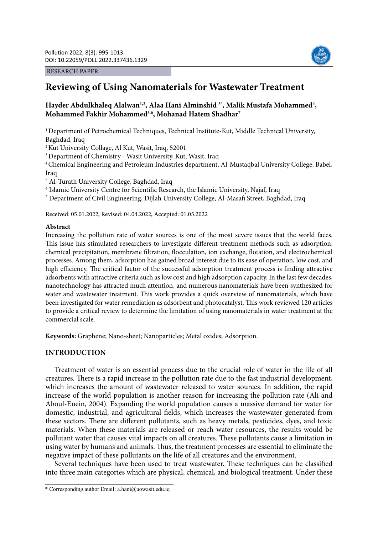#### RESEARCH PAPER



# **Reviewing of Using Nanomaterials for Wastewater Treatment**

# Hayder Abdulkhaleq Alalwan<sup>1,2</sup>, Alaa Hani Alminshid<sup>3\*</sup>, Malik Mustafa Mohammed<sup>4</sup>, **Mohammed Fakhir Mohammed5,6, Mohanad Hatem Shadhar7**

<sup>1</sup> Department of Petrochemical Techniques, Technical Institute-Kut, Middle Technical University, Baghdad, Iraq

2 Kut University Collage, Al Kut, Wasit, Iraq, 52001

3 Department of Chemistry - Wasit University, Kut, Wasit, Iraq

4 Chemical Engineering and Petroleum Industries department, Al-Mustaqbal University College, Babel, Iraq

5 Al-Turath University College, Baghdad, Iraq

6 Islamic University Centre for Scientific Research, the Islamic University, Najaf, Iraq

 $^7$  Department of Civil Engineering, Dijlah University College, Al-Masafi Street, Baghdad, Iraq

Received: 05.01.2022, Revised: 04.04.2022, Accepted: 01.05.2022

# **Abstract**

Increasing the pollution rate of water sources is one of the most severe issues that the world faces. This issue has stimulated researchers to investigate different treatment methods such as adsorption, chemical precipitation, membrane filtration, flocculation, ion exchange, flotation, and electrochemical processes. Among them, adsorption has gained broad interest due to its ease of operation, low cost, and high efficiency. The critical factor of the successful adsorption treatment process is finding attractive adsorbents with attractive criteria such as low cost and high adsorption capacity. In the last few decades, nanotechnology has attracted much attention, and numerous nanomaterials have been synthesized for water and wastewater treatment. This work provides a quick overview of nanomaterials, which have been investigated for water remediation as adsorbent and photocatalyst. This work reviewed 120 articles to provide a critical review to determine the limitation of using nanomaterials in water treatment at the commercial scale.

**Keywords:** Graphene; Nano-sheet; Nanoparticles; Metal oxides; Adsorption.

# **INTRODUCTION**

Treatment of water is an essential process due to the crucial role of water in the life of all creatures. There is a rapid increase in the pollution rate due to the fast industrial development, which increases the amount of wastewater released to water sources. In addition, the rapid increase of the world population is another reason for increasing the pollution rate (Ali and Aboul-Enein, 2004). Expanding the world population causes a massive demand for water for domestic, industrial, and agricultural fields, which increases the wastewater generated from these sectors. There are different pollutants, such as heavy metals, pesticides, dyes, and toxic materials. When these materials are released or reach water resources, the results would be pollutant water that causes vital impacts on all creatures. These pollutants cause a limitation in using water by humans and animals. Thus, the treatment processes are essential to eliminate the negative impact of these pollutants on the life of all creatures and the environment.

Several techniques have been used to treat wastewater. These techniques can be classified into three main categories which are physical, chemical, and biological treatment. Under these

<sup>\*</sup> Corresponding author Email: a.hani@uowasit,edu.iq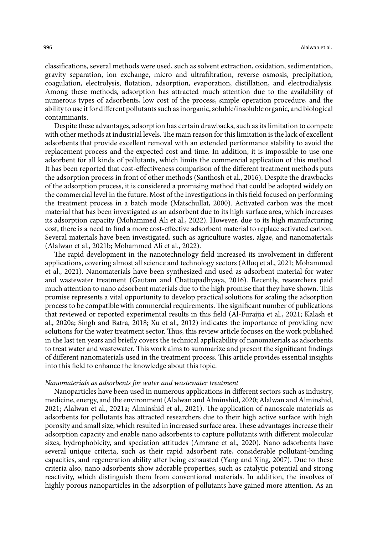classifications, several methods were used, such as solvent extraction, oxidation, sedimentation, gravity separation, ion exchange, micro and ultrafiltration, reverse osmosis, precipitation, coagulation, electrolysis, flotation, adsorption, evaporation, distillation, and electrodialysis. Among these methods, adsorption has attracted much attention due to the availability of numerous types of adsorbents, low cost of the process, simple operation procedure, and the ability to use it for different pollutants such as inorganic, soluble/insoluble organic, and biological contaminants.

Despite these advantages, adsorption has certain drawbacks, such as its limitation to compete with other methods at industrial levels. The main reason for this limitation is the lack of excellent adsorbents that provide excellent removal with an extended performance stability to avoid the replacement process and the expected cost and time. In addition, it is impossible to use one adsorbent for all kinds of pollutants, which limits the commercial application of this method. It has been reported that cost-effectiveness comparison of the different treatment methods puts the adsorption process in front of other methods (Santhosh et al., 2016). Despite the drawbacks of the adsorption process, it is considered a promising method that could be adopted widely on the commercial level in the future. Most of the investigations in this field focused on performing the treatment process in a batch mode (Matschullat, 2000). Activated carbon was the most material that has been investigated as an adsorbent due to its high surface area, which increases its adsorption capacity (Mohammed Ali et al., 2022). However, due to its high manufacturing cost, there is a need to find a more cost-effective adsorbent material to replace activated carbon. Several materials have been investigated, such as agriculture wastes, algae, and nanomaterials (Alalwan et al., 2021b; Mohammed Ali et al., 2022).

The rapid development in the nanotechnology field increased its involvement in different applications, covering almost all science and technology sectors (Afluq et al., 2021; Mohammed et al., 2021). Nanomaterials have been synthesized and used as adsorbent material for water and wastewater treatment (Gautam and Chattopadhyaya, 2016). Recently, researchers paid much attention to nano adsorbent materials due to the high promise that they have shown. This promise represents a vital opportunity to develop practical solutions for scaling the adsorption process to be compatible with commercial requirements. The significant number of publications that reviewed or reported experimental results in this field (Al-Furaijia et al., 2021; Kalash et al., 2020a; Singh and Batra, 2018; Xu et al., 2012) indicates the importance of providing new solutions for the water treatment sector. Thus, this review article focuses on the work published in the last ten years and briefly covers the technical applicability of nanomaterials as adsorbents to treat water and wastewater. This work aims to summarize and present the significant findings of different nanomaterials used in the treatment process. This article provides essential insights into this field to enhance the knowledge about this topic.

#### *Nanomaterials as adsorbents for water and wastewater treatment*

Nanoparticles have been used in numerous applications in different sectors such as industry, medicine, energy, and the environment (Alalwan and Alminshid, 2020; Alalwan and Alminshid, 2021; Alalwan et al., 2021a; Alminshid et al., 2021). The application of nanoscale materials as adsorbents for pollutants has attracted researchers due to their high active surface with high porosity and small size, which resulted in increased surface area. These advantages increase their adsorption capacity and enable nano adsorbents to capture pollutants with different molecular sizes, hydrophobicity, and speciation attitudes (Amrane et al., 2020). Nano adsorbents have several unique criteria, such as their rapid adsorbent rate, considerable pollutant-binding capacities, and regeneration ability after being exhausted (Yang and Xing, 2007). Due to these criteria also, nano adsorbents show adorable properties, such as catalytic potential and strong reactivity, which distinguish them from conventional materials. In addition, the involves of highly porous nanoparticles in the adsorption of pollutants have gained more attention. As an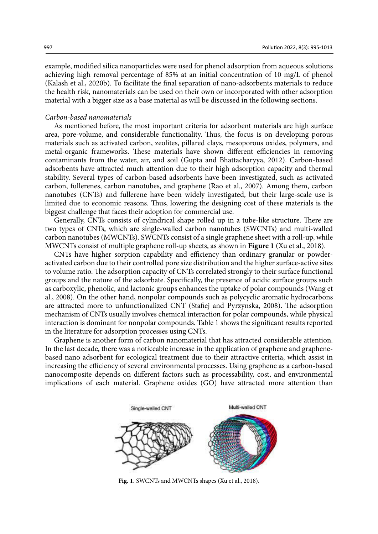example, modified silica nanoparticles were used for phenol adsorption from aqueous solutions achieving high removal percentage of 85% at an initial concentration of 10 mg/L of phenol (Kalash et al., 2020b). To facilitate the final separation of nano-adsorbents materials to reduce the health risk, nanomaterials can be used on their own or incorporated with other adsorption material with a bigger size as a base material as will be discussed in the following sections.

#### *Carbon-based nanomaterials*

As mentioned before, the most important criteria for adsorbent materials are high surface area, pore-volume, and considerable functionality. Thus, the focus is on developing porous materials such as activated carbon, zeolites, pillared clays, mesoporous oxides, polymers, and metal-organic frameworks. These materials have shown different efficiencies in removing contaminants from the water, air, and soil (Gupta and Bhattacharyya, 2012). Carbon-based adsorbents have attracted much attention due to their high adsorption capacity and thermal stability. Several types of carbon-based adsorbents have been investigated, such as activated carbon, fullerenes, carbon nanotubes, and graphene (Rao et al., 2007). Among them, carbon nanotubes (CNTs) and fullerene have been widely investigated, but their large-scale use is limited due to economic reasons. Thus, lowering the designing cost of these materials is the biggest challenge that faces their adoption for commercial use.

Generally, CNTs consists of cylindrical shape rolled up in a tube-like structure. There are two types of CNTs, which are single-walled carbon nanotubes (SWCNTs) and multi-walled carbon nanotubes (MWCNTs). SWCNTs consist of a single graphene sheet with a roll-up, while MWCNTs consist of multiple graphene roll-up sheets, as shown in **Figure 1** (Xu et al., 2018).

CNTs have higher sorption capability and efficiency than ordinary granular or powderactivated carbon due to their controlled pore size distribution and the higher surface-active sites to volume ratio. The adsorption capacity of CNTs correlated strongly to their surface functional groups and the nature of the adsorbate. Specifically, the presence of acidic surface groups such as carboxylic, phenolic, and lactonic groups enhances the uptake of polar compounds (Wang et al., 2008). On the other hand, nonpolar compounds such as polycyclic aromatic hydrocarbons are attracted more to unfunctionalized CNT (Stafiej and Pyrzynska, 2008). The adsorption mechanism of CNTs usually involves chemical interaction for polar compounds, while physical interaction is dominant for nonpolar compounds. Table 1 shows the significant results reported in the literature for adsorption processes using CNTs.

Graphene is another form of carbon nanomaterial that has attracted considerable attention. In the last decade, there was a noticeable increase in the application of graphene and graphenebased nano adsorbent for ecological treatment due to their attractive criteria, which assist in increasing the efficiency of several environmental processes. Using graphene as a carbon-based nanocomposite depends on different factors such as processability, cost, and environmental implications of each material. Graphene oxides (GO) have attracted more attention than



**Fig. 1.** SWCNTs and MWCNTs shapes (Xu et al., 2018).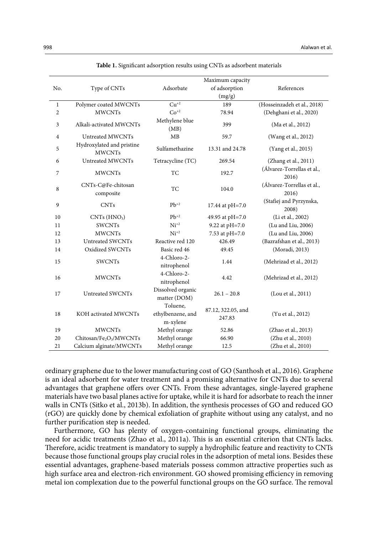|                |                                                 |                                           | Maximum capacity             |                                     |  |
|----------------|-------------------------------------------------|-------------------------------------------|------------------------------|-------------------------------------|--|
| No.            | Type of CNTs                                    | Adsorbate                                 | of adsorption                | References                          |  |
|                |                                                 |                                           | (mg/g)                       |                                     |  |
| $\mathbf{1}$   | Polymer coated MWCNTs                           | $\mathrm{Cu}^{+2}$                        | 189                          | (Hosseinzadeh et al., 2018)         |  |
| $\overline{2}$ | <b>MWCNTs</b>                                   | $Co^{+2}$                                 | 78.94                        | (Dehghani et al., 2020)             |  |
| 3              | Alkali-activated MWCNTs                         | Methylene blue<br>(MB)                    | 399                          | (Ma et al., 2012)                   |  |
| 4              | Untreated MWCNTs                                | MB                                        | 59.7                         | (Wang et al., 2012)                 |  |
| 5              | Hydroxylated and pristine<br><b>MWCNTs</b>      | Sulfamethazine                            | 13.31 and 24.78              | (Yang et al., 2015)                 |  |
| 6              | Untreated MWCNTs                                | Tetracycline (TC)                         | 269.54                       | (Zhang et al., 2011)                |  |
| 7              | <b>MWCNTs</b>                                   | TC                                        | 192.7                        | (Álvarez-Torrellas et al.,<br>2016) |  |
| 8              | CNTs-C@Fe-chitosan<br>composite                 | TC                                        | 104.0                        | (Álvarez-Torrellas et al.,<br>2016) |  |
| 9              | <b>CNTs</b>                                     | $Pb^{+2}$                                 | 17.44 at pH=7.0              | (Stafiej and Pyrzynska,<br>2008)    |  |
| 10             | $CNTs$ ( $HNO3$ )                               | $Pb^{+2}$                                 | 49.95 at pH=7.0              | (Li et al., 2002)                   |  |
| 11             | <b>SWCNTs</b>                                   | $Ni^{+2}$                                 | 9.22 at pH=7.0               | (Lu and Liu, 2006)                  |  |
| 12             | <b>MWCNTs</b>                                   | $Ni^{+2}$                                 | 7.53 at pH=7.0               | (Lu and Liu, 2006)                  |  |
| 13             | Untreated SWCNTs                                | Reactive red 120                          | 426.49                       | (Bazrafshan et al., 2013)           |  |
| 14             | Oxidized SWCNTs                                 | Basic red 46                              | 49.45                        | (Moradi, 2013)                      |  |
| 15             | <b>SWCNTs</b>                                   | 4-Chloro-2-<br>nitrophenol                | 1.44                         | (Mehrizad et al., 2012)             |  |
| 16             | <b>MWCNTs</b>                                   | 4-Chloro-2-<br>nitrophenol                | 4.42                         | (Mehrizad et al., 2012)             |  |
| 17             | Untreated SWCNTs                                | Dissolved organic<br>matter (DOM)         | $26.1 - 20.8$                | (Lou et al., 2011)                  |  |
| 18             | KOH activated MWCNTs                            | Toluene,<br>ethylbenzene, and<br>m-xylene | 87.12, 322.05, and<br>247.83 | (Yu et al., 2012)                   |  |
| 19             | <b>MWCNTs</b>                                   | Methyl orange                             | 52.86                        | (Zhao et al., 2013)                 |  |
| 20             | Chitosan/Fe <sub>2</sub> O <sub>3</sub> /MWCNTs | Methyl orange                             | 66.90                        | (Zhu et al., 2010)                  |  |
| 21             | Calcium alginate/MWCNTs                         | Methyl orange                             | 12.5                         | (Zhu et al., 2010)                  |  |

Table 1. Significant adsorption results using CNTs as adsorbent materials **Table 1.** Significant adsorption results using CNTs as adsorbent materials

ordinary graphene due to the lower manufacturing cost of GO (Santhosh et al., 2016). Graphene is an ideal adsorbent for water treatment and a promising alternative for CNTs due to several advantages that graphene offers over CNTs. From these advantages, single-layered graphene materials have two basal planes active for uptake, while it is hard for adsorbate to reach the inner walls in CNTs (Sitko et al., 2013b). In addition, the synthesis processes of GO and reduced GO (rGO) are quickly done by chemical exfoliation of graphite without using any catalyst, and no further purification step is needed.

Furthermore, GO has plenty of oxygen-containing functional groups, eliminating the need for acidic treatments (Zhao et al., 2011a). This is an essential criterion that CNTs lacks. Therefore, acidic treatment is mandatory to supply a hydrophilic feature and reactivity to CNTs because those functional groups play crucial roles in the adsorption of metal ions. Besides these essential advantages, graphene-based materials possess common attractive properties such as high surface area and electron-rich environment. GO showed promising efficiency in removing metal ion complexation due to the powerful functional groups on the GO surface. The removal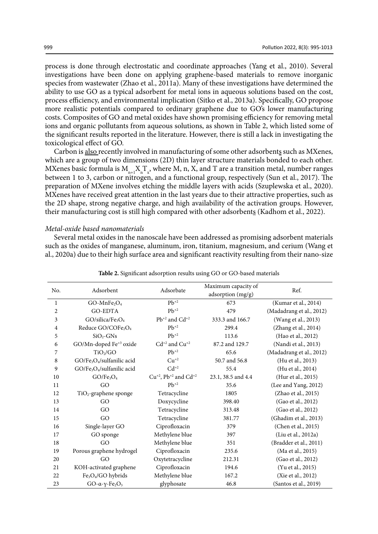process is done through electrostatic and coordinate approaches (Yang et al., 2010). Several investigations have been done on applying graphene-based materials to remove inorganic species from wastewater (Zhao et al., 2011a). Many of these investigations have determined the ability to use GO as a typical adsorbent for metal ions in aqueous solutions based on the cost, process efficiency, and environmental implication (Sitko et al., 2013a). Specifically, GO propose more realistic potentials compared to ordinary graphene due to GO's lower manufacturing costs. Composites of GO and metal oxides have shown promising efficiency for removing metal ions and organic pollutants from aqueous solutions, as shown in Table 2, which listed some of the significant results reported in the literature. However, there is still a lack in investigating the toxicological effect of GO.

Carbon is also recently involved in manufacturing of some other adsorbents such as MXenes, which are a group of two dimensions (2D) thin layer structure materials bonded to each other. MXenes basic formula is  $M_{n+1}X_nT_x$ , where M, n, X, and T are a transition metal, number ranges between 1 to 3, carbon or nitrogen, and a functional group, respectively (Sun et al., 2017). The preparation of MXene involves etching the middle layers with acids (Szuplewska et al., 2020). MXenes have received great attention in the last years due to their attractive properties, such as the 2D shape, strong negative charge, and high availability of the activation groups. However, their manufacturing cost is still high compared with other adsorbents (Kadhom et al., 2022).

#### *Metal-oxide based nanomaterials*

Several metal oxides in the nanoscale have been addressed as promising adsorbent materials such as the oxides of manganese, aluminum, iron, titanium, magnesium, and cerium (Wang et al., 2020a) due to their high surface area and significant reactivity resulting from their nano-size

| No.            | Adsorbent                                               | Adsorbate                                                    | Maximum capacity of<br>adsorption (mg/g) | Ref.                     |
|----------------|---------------------------------------------------------|--------------------------------------------------------------|------------------------------------------|--------------------------|
| $\mathbf{1}$   | $GO-MnFe2O4$                                            | $Pb^{+2}$                                                    | 673                                      | (Kumar et al., 2014)     |
| $\overline{2}$ | <b>GO-EDTA</b>                                          | $Pb^{+2}$                                                    | 479                                      | (Madadrang et al., 2012) |
| 3              | GO/silica/Fe <sub>3</sub> O <sub>4</sub>                | $Pb^{+2}$ and $Cd^{+2}$                                      | 333.3 and 166.7                          | (Wang et al., 2013)      |
| $\overline{4}$ | Reduce GO/COFe <sub>2</sub> O <sub>4</sub>              | $Pb^{+2}$                                                    | 299.4                                    | (Zhang et al., 2014)     |
| 5              | $SiO2-GNs$                                              | $Pb^{+2}$                                                    | 113.6                                    | (Hao et al., 2012)       |
| 6              | GO/Mn-doped Fe <sup>+3</sup> oxide                      | $Cd^{+2}$ and $Cu^{+2}$                                      | 87.2 and 129.7                           | (Nandi et al., 2013)     |
| 7              | TiO <sub>2</sub> /GO                                    | $Pb^{+2}$                                                    | 65.6                                     | (Madadrang et al., 2012) |
| $\,8\,$        | GO/Fe <sub>3</sub> O <sub>4</sub> /sulfanilic acid      | $Cu^{+2}$                                                    | 50.7 and 56.8                            | (Hu et al., 2013)        |
| 9              | GO/Fe <sub>3</sub> O <sub>4</sub> /sulfanilic acid      | $Cd+2$                                                       | 55.4                                     | (Hu et al., 2014)        |
| 10             | GO/Fe <sub>3</sub> O <sub>4</sub>                       | $Cu$ <sup>+2</sup> , Pb <sup>+2</sup> and $Cd$ <sup>+2</sup> | 23.1, 38.5 and 4.4                       | (Hur et al., 2015)       |
| 11             | GO                                                      | $Pb^{+2}$                                                    | 35.6                                     | (Lee and Yang, 2012)     |
| 12             | TiO <sub>2</sub> -graphene sponge                       | Tetracycline                                                 | 1805                                     | (Zhao et al., 2015)      |
| 13             | GO                                                      | Doxycycline                                                  | 398.40                                   | (Gao et al., 2012)       |
| 14             | GO                                                      | Tetracycline                                                 | 313.48                                   | (Gao et al., 2012)       |
| 15             | GO                                                      | Tetracycline                                                 | 381.77                                   | (Ghadim et al., 2013)    |
| 16             | Single-layer GO                                         | Ciprofloxacin                                                | 379                                      | (Chen et al., 2015)      |
| 17             | GO sponge                                               | Methylene blue                                               | 397                                      | (Liu et al., 2012a)      |
| 18             | GO                                                      | Methylene blue                                               | 351                                      | (Bradder et al., 2011)   |
| 19             | Porous graphene hydrogel                                | Ciprofloxacin                                                | 235.6                                    | (Ma et al., 2015)        |
| 20             | GO                                                      | Oxytetracycline                                              | 212.31                                   | (Gao et al., 2012)       |
| 21             | KOH-activated graphene                                  | Ciprofloxacin                                                | 194.6                                    | (Yu et al., 2015)        |
| 22             | Fe <sub>3</sub> O <sub>4</sub> /GO hybrids              | Methylene blue                                               | 167.2                                    | (Xie et al., 2012)       |
| 23             | GO- $\alpha$ - $\gamma$ -Fe <sub>2</sub> O <sub>3</sub> | glyphosate                                                   | 46.8                                     | (Santos et al., 2019)    |

Table 2. Significant adsorption results using GO or GO-based materials **Table 2.** Significant adsorption results using GO or GO-based materials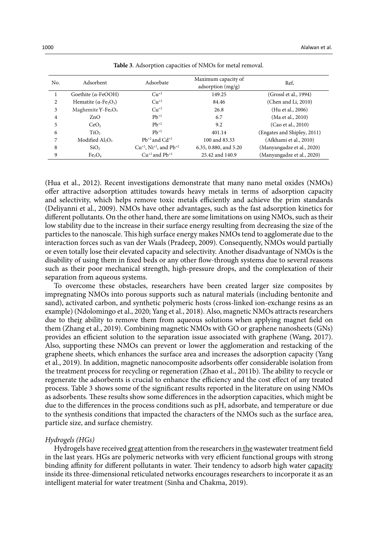| No. | Adsorbent                                             | Adsorbate                                           | Maximum capacity of<br>adsorption $(mg/g)$ | Ref.                        |
|-----|-------------------------------------------------------|-----------------------------------------------------|--------------------------------------------|-----------------------------|
|     | Goethite $(a$ -FeOOH)                                 | $Cu+2$                                              | 149.25                                     | (Grossl et al., 1994)       |
| 2   | Hematite ( $\alpha$ -Fe <sub>2</sub> O <sub>3</sub> ) | $Cu^{+2}$                                           | 84.46                                      | (Chen and Li, 2010)         |
| 3   | Maghemite $Y$ -Fe <sub>2</sub> O <sub>3</sub>         | $Cu+2$                                              | 26.8                                       | (Hu et al., 2006)           |
| 4   | ZnO                                                   | $Pb^{+2}$                                           | 6.7                                        | (Ma et al., 2010)           |
| 5   | CeO <sub>2</sub>                                      | $Pb^{+2}$                                           | 9.2                                        | (Cao et al., 2010)          |
| 6   | TiO <sub>2</sub>                                      | $Ph^{+2}$                                           | 401.14                                     | (Engates and Shipley, 2011) |
| 7   | Modified $Al_2O_3$                                    | $Pb^{+2}$ and $Cd^{+2}$                             | 100 and 83.33                              | (Afkhami et al., 2010)      |
| 8   | SiO <sub>2</sub>                                      | $Cu^{+2}$ , Ni <sup>+2</sup> , and Pb <sup>+2</sup> | 6.35, 0.880, and 5.20                      | (Manyangadze et al., 2020)  |
| 9   | Fe <sub>3</sub> O <sub>4</sub>                        | $Cu^{+2}$ and $Pb^{+2}$                             | 25.42 and 140.9                            | (Manyangadze et al., 2020)  |

**Table 3**. Adsorption capacities of NMOs for metal removal. **Table 3**. Adsorption capacities of NMOs for metal removal.

(Hua et al., 2012). Recent investigations demonstrate that many nano metal oxides (NMOs) offer attractive adsorption attitudes towards heavy metals in terms of adsorption capacity and selectivity, which helps remove toxic metals efficiently and achieve the prim standards (Deliyanni et al., 2009). NMOs have other advantages, such as the fast adsorption kinetics for different pollutants. On the other hand, there are some limitations on using NMOs, such as their low stability due to the increase in their surface energy resulting from decreasing the size of the particles to the nanoscale. This high surface energy makes NMOs tend to agglomerate due to the interaction forces such as van der Waals (Pradeep, 2009). Consequently, NMOs would partially or even totally lose their elevated capacity and selectivity. Another disadvantage of NMOs is the disability of using them in fixed beds or any other flow-through systems due to several reasons such as their poor mechanical strength, high-pressure drops, and the complexation of their separation from aqueous systems.

To overcome these obstacles, researchers have been created larger size composites by impregnating NMOs into porous supports such as natural materials (including bentonite and sand), activated carbon, and synthetic polymeric hosts (cross-linked ion-exchange resins as an example) (Ndolomingo et al., 2020; Yang et al., 2018). Also, magnetic NMOs attracts researchers due to their ability to remove them from aqueous solutions when applying magnet field on them (Zhang et al., 2019). Combining magnetic NMOs with GO or graphene nanosheets (GNs) provides an efficient solution to the separation issue associated with graphene (Wang, 2017). Also, supporting these NMOs can prevent or lower the agglomeration and restacking of the graphene sheets, which enhances the surface area and increases the adsorption capacity (Yang et al., 2019). In addition, magnetic nanocomposite adsorbents offer considerable isolation from the treatment process for recycling or regeneration (Zhao et al., 2011b). The ability to recycle or regenerate the adsorbents is crucial to enhance the efficiency and the cost effect of any treated process. Table 3 shows some of the significant results reported in the literature on using NMOs as adsorbents. These results show some differences in the adsorption capacities, which might be due to the differences in the process conditions such as pH, adsorbate, and temperature or due to the synthesis conditions that impacted the characters of the NMOs such as the surface area, particle size, and surface chemistry.

# *Hydrogels (HGs)*

Hydrogels have received great attention from the researchers in the wastewater treatment field in the last years. HGs are polymeric networks with very efficient functional groups with strong binding affinity for different pollutants in water. Their tendency to adsorb high water capacity inside its three-dimensional reticulated networks encourages researchers to incorporate it as an intelligent material for water treatment (Sinha and Chakma, 2019).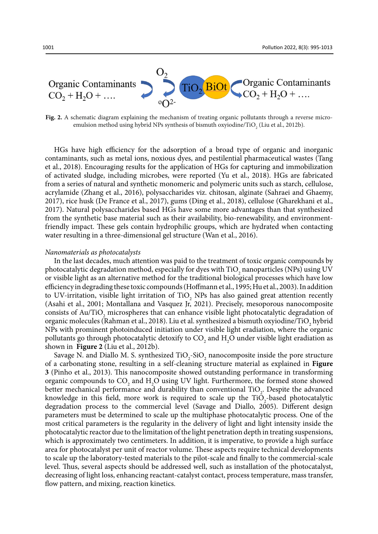

**Fig. 2.** A schematic diagram explaining the mechanism of treating organic pollutants through a reverse microemulsion method using hybrid NPs synthesis of bismuth oxyiodine/TiO $_{_2}$  (Liu et al., 2012b).

HGs have high efficiency for the adsorption of a broad type of organic and inorganic contaminants, such as metal ions, noxious dyes, and pestilential pharmaceutical wastes (Tang et al., 2018). Encouraging results for the application of HGs for capturing and immobilization of activated sludge, including microbes, were reported (Yu et al., 2018). HGs are fabricated from a series of natural and synthetic monomeric and polymeric units such as starch, cellulose, acrylamide (Zhang et al., 2016), polysaccharides viz. chitosan, alginate (Sahraei and Ghaemy, 2017), rice husk (De France et al., 2017), gums (Ding et al., 2018), cellulose (Gharekhani et al., 2017). Natural polysaccharides based HGs have some more advantages than that synthesized from the synthetic base material such as their availability, bio-renewability, and environmentfriendly impact. These gels contain hydrophilic groups, which are hydrated when contacting water resulting in a three-dimensional gel structure (Wan et al., 2016).

### *Nanomaterials as photocatalysts*

In the last decades, much attention was paid to the treatment of toxic organic compounds by photocatalytic degradation method, especially for dyes with  $\text{TiO}_2$  nanoparticles (NPs) using UV or visible light as an alternative method for the traditional biological processes which have low efficiency in degrading these toxic compounds (Hoffmann et al., 1995; Hu et al., 2003). In addition to UV-irritation, visible light irritation of  $TiO<sub>2</sub>$  NPs has also gained great attention recently (Asahi et al., 2001; Montallana and Vasquez Jr, 2021). Precisely, mesoporous nanocomposite consists of Au/TiO<sub>2</sub> microspheres that can enhance visible light photocatalytic degradation of organic molecules (Rahman et al., 2018). Liu et al. synthesized a bismuth oxyiodine/TiO<sub>2</sub> hybrid NPs with prominent photoinduced initiation under visible light eradiation, where the organic pollutants go through photocatalytic detoxify to  $\text{CO}_2$  and  $\text{H}_2\text{O}$  under visible light eradiation as shown in **Figure 2** (Liu et al., 2012b).

Savage N. and Diallo M. S. synthesized  $TiO<sub>2</sub>-SiO<sub>2</sub>$  nanocomposite inside the pore structure of a carbonating stone, resulting in a self-cleaning structure material as explained in **Figure 3** (Pinho et al., 2013). This nanocomposite showed outstanding performance in transforming organic compounds to  $CO_2$  and  $H_2O$  using UV light. Furthermore, the formed stone showed better mechanical performance and durability than conventional  $TiO<sub>2</sub>$ . Despite the advanced knowledge in this field, more work is required to scale up the  $TiO_2$ -based photocatalytic degradation process to the commercial level (Savage and Diallo, 2005). Different design parameters must be determined to scale up the multiphase photocatalytic process. One of the most critical parameters is the regularity in the delivery of light and light intensity inside the photocatalytic reactor due to the limitation of the light penetration depth in treating suspensions, which is approximately two centimeters. In addition, it is imperative, to provide a high surface area for photocatalyst per unit of reactor volume. These aspects require technical developments to scale up the laboratory-tested materials to the pilot-scale and finally to the commercial-scale level. Thus, several aspects should be addressed well, such as installation of the photocatalyst, decreasing of light loss, enhancing reactant-catalyst contact, process temperature, mass transfer, flow pattern, and mixing, reaction kinetics.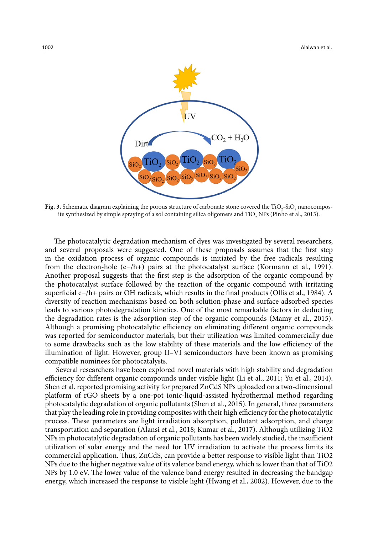

Fig. 3. Schematic diagram explaining the porous structure of carbonate stone covered the  $\rm TiO_2$ - $\rm SiO_2$  nanocomposite synthesized by simple spraying of a sol containing silica oligomers and TiO<sub>2</sub> NPs (Pinho et al., 2013).

The photocatalytic degradation mechanism of dyes was investigated by several researchers, and several proposals were suggested. One of these proposals assumes that the first step in the oxidation process of organic compounds is initiated by the free radicals resulting from the electron-hole (e-/h+) pairs at the photocatalyst surface (Kormann et al., 1991). Another proposal suggests that the first step is the adsorption of the organic compound by the photocatalyst surface followed by the reaction of the organic compound with irritating superficial e−/h+ pairs or OH radicals, which results in the final products (Ollis et al., 1984). A diversity of reaction mechanisms based on both solution-phase and surface adsorbed species leads to various photodegradation kinetics. One of the most remarkable factors in deducting the degradation rates is the adsorption step of the organic compounds (Mamy et al., 2015). Although a promising photocatalytic efficiency on eliminating different organic compounds was reported for semiconductor materials, but their utilization was limited commercially due to some drawbacks such as the low stability of these materials and the low efficiency of the illumination of light. However, group II–VI semiconductors have been known as promising compatible nominees for photocatalysts.

 Several researchers have been explored novel materials with high stability and degradation efficiency for different organic compounds under visible light (Li et al., 2011; Yu et al., 2014). Shen et al. reported promising activity for prepared ZnCdS NPs uploaded on a two-dimensional platform of rGO sheets by a one-pot ionic-liquid-assisted hydrothermal method regarding photocatalytic degradation of organic pollutants (Shen et al., 2015). In general, three parameters that play the leading role in providing composites with their high efficiency for the photocatalytic process. These parameters are light irradiation absorption, pollutant adsorption, and charge transportation and separation (Alansi et al., 2018; Kumar et al., 2017). Although utilizing TiO2 NPs in photocatalytic degradation of organic pollutants has been widely studied, the insufficient utilization of solar energy and the need for UV irradiation to activate the process limits its commercial application. Thus, ZnCdS, can provide a better response to visible light than TiO2 NPs due to the higher negative value of its valence band energy, which is lower than that of TiO2 NPs by 1.0 eV. The lower value of the valence band energy resulted in decreasing the bandgap energy, which increased the response to visible light (Hwang et al., 2002). However, due to the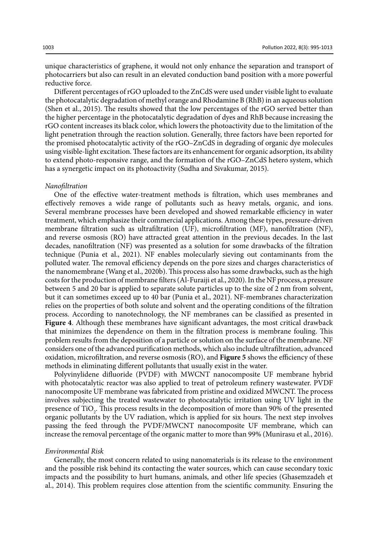unique characteristics of graphene, it would not only enhance the separation and transport of photocarriers but also can result in an elevated conduction band position with a more powerful reductive force.

Different percentages of rGO uploaded to the ZnCdS were used under visible light to evaluate the photocatalytic degradation of methyl orange and Rhodamine B (RhB) in an aqueous solution (Shen et al., 2015). The results showed that the low percentages of the rGO served better than the higher percentage in the photocatalytic degradation of dyes and RhB because increasing the rGO content increases its black color, which lowers the photoactivity due to the limitation of the light penetration through the reaction solution. Generally, three factors have been reported for the promised photocatalytic activity of the rGO–ZnCdS in degrading of organic dye molecules using visible-light excitation. These factors are its enhancement for organic adsorption, its ability to extend photo-responsive range, and the formation of the rGO–ZnCdS hetero system, which has a synergetic impact on its photoactivity (Sudha and Sivakumar, 2015).

#### *Nanofiltration*

One of the effective water-treatment methods is filtration, which uses membranes and effectively removes a wide range of pollutants such as heavy metals, organic, and ions. Several membrane processes have been developed and showed remarkable efficiency in water treatment, which emphasize their commercial applications. Among these types, pressure-driven membrane filtration such as ultrafiltration (UF), microfiltration (MF), nanofiltration (NF), and reverse osmosis (RO) have attracted great attention in the previous decades. In the last decades, nanofiltration (NF) was presented as a solution for some drawbacks of the filtration technique (Punia et al., 2021). NF enables molecularly sieving out contaminants from the polluted water. The removal efficiency depends on the pore sizes and charges characteristics of the nanomembrane (Wang et al., 2020b). This process also hassome drawbacks, such as the high costs for the production of membrane filters (Al-Furaiji et al., 2020). In the NF process, a pressure between 5 and 20 bar is applied to separate solute particles up to the size of 2 nm from solvent, but it can sometimes exceed up to 40 bar (Punia et al., 2021). NF-membranes characterization relies on the properties of both solute and solvent and the operating conditions of the filtration process. According to nanotechnology, the NF membranes can be classified as presented in **Figure 4**. Although these membranes have significant advantages, the most critical drawback that minimizes the dependence on them in the filtration process is membrane fouling. This problem results from the deposition of a particle or solution on the surface of the membrane. NF considers one of the advanced purification methods, which also include ultrafiltration, advanced oxidation, microfiltration, and reverse osmosis (RO), and **Figure 5** shows the efficiency of these methods in eliminating different pollutants that usually exist in the water.

Polyvinylidene difluoride (PVDF) with MWCNT nanocomposite UF membrane hybrid with photocatalytic reactor was also applied to treat of petroleum refinery wastewater. PVDF nanocomposite UF membrane was fabricated from pristine and oxidized MWCNT. The process involves subjecting the treated wastewater to photocatalytic irritation using UV light in the presence of  $TiO<sub>2</sub>$ . This process results in the decomposition of more than 90% of the presented organic pollutants by the UV radiation, which is applied for six hours. The next step involves passing the feed through the PVDF/MWCNT nanocomposite UF membrane, which can increase the removal percentage of the organic matter to more than 99% (Munirasu et al., 2016).

#### *Environmental Risk*

Generally, the most concern related to using nanomaterials is its release to the environment and the possible risk behind its contacting the water sources, which can cause secondary toxic impacts and the possibility to hurt humans, animals, and other life species (Ghasemzadeh et al., 2014). This problem requires close attention from the scientific community. Ensuring the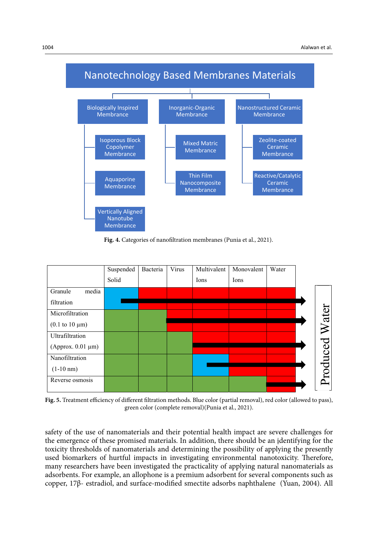

**Fig. 4.** Categories of nanofiltration membranes (Punia et al., 2021).



 $\mathcal{F}_{\mathcal{F}}$  , and different filtration methods. Blue color (partial removal), reducing  $\mathcal{F}_{\mathcal{F}}$ **Fig. 5.** Treatment efficiency of different filtration methods. Blue color (partial removal), red color (allowed to pass), green color (complete removal)(Punia et al., 2021).

safety of the use of nanomaterials and their potential health impact are severe challenges for the emergence of these promised materials. In addition, there should be an identifying for the toxicity thresholds of nanomaterials and determining the possibility of applying the presently used biomarkers of hurtful impacts in investigating environmental nanotoxicity. Therefore, many researchers have been investigated the practicality of applying natural nanomaterials as adsorbents. For example, an allophone is a premium adsorbent for several components such as copper, 17β- estradiol, and surface-modified smectite adsorbs naphthalene (Yuan, 2004). All color (allowed to pass), green color (complete removal)(Punia et al., 2021).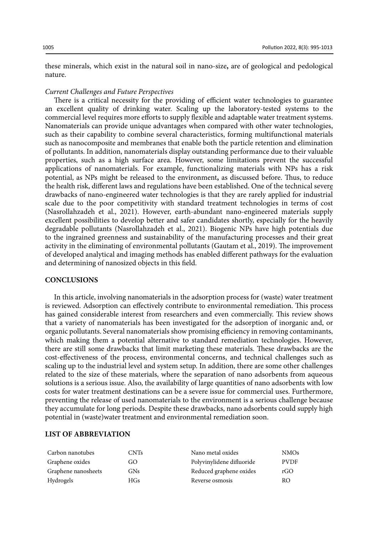these minerals, which exist in the natural soil in nano-size**,** are of geological and pedological nature.

#### *Current Challenges and Future Perspectives*

There is a critical necessity for the providing of efficient water technologies to guarantee an excellent quality of drinking water. Scaling up the laboratory-tested systems to the commercial level requires more efforts to supply flexible and adaptable water treatment systems. Nanomaterials can provide unique advantages when compared with other water technologies, such as their capability to combine several characteristics, forming multifunctional materials such as nanocomposite and membranes that enable both the particle retention and elimination of pollutants. In addition, nanomaterials display outstanding performance due to their valuable properties, such as a high surface area. However, some limitations prevent the successful applications of nanomaterials. For example, functionalizing materials with NPs has a risk potential, as NPs might be released to the environment**,** as discussed before. Thus, to reduce the health risk, different laws and regulations have been established. One of the technical severe drawbacks of nano-engineered water technologies is that they are rarely applied for industrial scale due to the poor competitivity with standard treatment technologies in terms of cost (Nasrollahzadeh et al., 2021). However, earth-abundant nano-engineered materials supply excellent possibilities to develop better and safer candidates shortly, especially for the heavily degradable pollutants (Nasrollahzadeh et al., 2021). Biogenic NPs have high potentials due to the ingrained greenness and sustainability of the manufacturing processes and their great activity in the eliminating of environmental pollutants (Gautam et al., 2019). The improvement of developed analytical and imaging methods has enabled different pathways for the evaluation and determining of nanosized objects in this field.

## **CONCLUSIONS**

In this article, involving nanomaterials in the adsorption process for (waste) water treatment is reviewed. Adsorption can effectively contribute to environmental remediation. This process has gained considerable interest from researchers and even commercially. This review shows that a variety of nanomaterials has been investigated for the adsorption of inorganic and, or organic pollutants. Several nanomaterials show promising efficiency in removing contaminants, which making them a potential alternative to standard remediation technologies. However, there are still some drawbacks that limit marketing these materials. These drawbacks are the cost-effectiveness of the process, environmental concerns, and technical challenges such as scaling up to the industrial level and system setup. In addition, there are some other challenges related to the size of these materials, where the separation of nano adsorbents from aqueous solutions is a serious issue. Also, the availability of large quantities of nano adsorbents with low costs for water treatment destinations can be a severe issue for commercial uses. Furthermore, preventing the release of used nanomaterials to the environment is a serious challenge because they accumulate for long periods. Despite these drawbacks, nano adsorbents could supply high potential in (waste)water treatment and environmental remediation soon.

# **LIST OF ABBREVIATION**

| Carbon nanotubes    | CNTs | Nano metal oxides         | <b>NMOs</b> |
|---------------------|------|---------------------------|-------------|
| Graphene oxides     | GO   | Polyvinylidene difluoride | <b>PVDF</b> |
| Graphene nanosheets | GNs. | Reduced graphene oxides   | rGO         |
| Hydrogels           | HGs  | Reverse osmosis           | RO.         |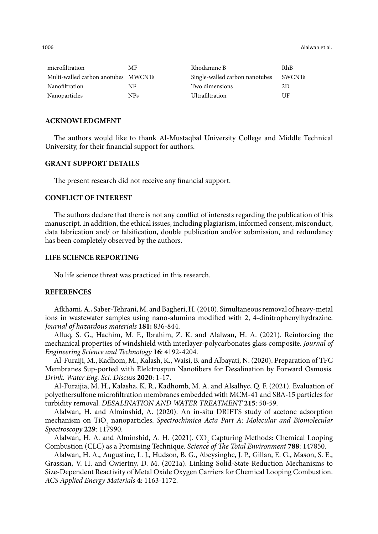| microfiltration                     | МF   | Rhodamine B                    | RhB    |
|-------------------------------------|------|--------------------------------|--------|
| Multi-walled carbon anotubes MWCNTs |      | Single-walled carbon nanotubes | SWCNTs |
| Nanofiltration                      | NF   | Two dimensions                 | 2D     |
| Nanoparticles                       | NPs. | Ultrafiltration                | UE     |

#### **ACKNOWLEDGMENT**

The authors would like to thank Al-Mustaqbal University College and Middle Technical University, for their financial support for authors.

# **GRANT SUPPORT DETAILS**

The present research did not receive any financial support.

# **CONFLICT OF INTEREST**

The authors declare that there is not any conflict of interests regarding the publication of this manuscript. In addition, the ethical issues, including plagiarism, informed consent, misconduct, data fabrication and/ or falsification, double publication and/or submission, and redundancy has been completely observed by the authors.

# **LIFE SCIENCE REPORTING**

No life science threat was practiced in this research.

#### **REFERENCES**

Afkhami, A., Saber-Tehrani, M. and Bagheri, H. (2010). Simultaneous removal of heavy-metal ions in wastewater samples using nano-alumina modified with 2, 4-dinitrophenylhydrazine. *Journal of hazardous materials* **181:** 836-844.

Afluq, S. G., Hachim, M. F., Ibrahim, Z. K. and Alalwan, H. A. (2021). Reinforcing the mechanical properties of windshield with interlayer-polycarbonates glass composite. *Journal of Engineering Science and Technology* **16**: 4192-4204.

Al-Furaiji, M., Kadhom, M., Kalash, K., Waisi, B. and Albayati, N. (2020). Preparation of TFC Membranes Sup-ported with Elelctrospun Nanofibers for Desalination by Forward Osmosis. *Drink. Water Eng. Sci. Discuss* **2020**: 1-17.

Al-Furaijia, M. H., Kalasha, K. R., Kadhomb, M. A. and Alsalhyc, Q. F. (2021). Evaluation of polyethersulfone microfiltration membranes embedded with MCM-41 and SBA-15 particles for turbidity removal. *DESALINATION AND WATER TREATMENT* **215**: 50-59.

Alalwan, H. and Alminshid, A. (2020). An in-situ DRIFTS study of acetone adsorption mechanism on TiO<sub>2</sub> nanoparticles. *Spectrochimica Acta Part A: Molecular and Biomolecular Spectroscopy* **229**: 117990.

Alalwan, H. A. and Alminshid, A. H. (2021). CO<sub>2</sub> Capturing Methods: Chemical Looping Combustion (CLC) as a Promising Technique. *Science of The Total Environment* **788**: 147850.

Alalwan, H. A., Augustine, L. J., Hudson, B. G., Abeysinghe, J. P., Gillan, E. G., Mason, S. E., Grassian, V. H. and Cwiertny, D. M. (2021a). Linking Solid-State Reduction Mechanisms to Size-Dependent Reactivity of Metal Oxide Oxygen Carriers for Chemical Looping Combustion. *ACS Applied Energy Materials* **4**: 1163-1172.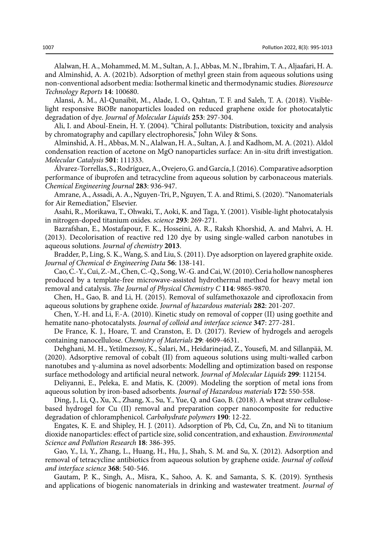Alalwan, H. A., Mohammed, M. M., Sultan, A. J., Abbas, M. N., Ibrahim, T. A., Aljaafari, H. A. and Alminshid, A. A. (2021b). Adsorption of methyl green stain from aqueous solutions using non-conventional adsorbent media: Isothermal kinetic and thermodynamic studies. *Bioresource Technology Reports* **14**: 100680.

Alansi, A. M., Al-Qunaibit, M., Alade, I. O., Qahtan, T. F. and Saleh, T. A. (2018). Visiblelight responsive BiOBr nanoparticles loaded on reduced graphene oxide for photocatalytic degradation of dye. *Journal of Molecular Liquids* **253**: 297-304.

Ali, I. and Aboul-Enein, H. Y. (2004). "Chiral pollutants: Distribution, toxicity and analysis by chromatography and capillary electrophoresis," John Wiley & Sons.

Alminshid, A. H., Abbas, M. N., Alalwan, H. A., Sultan, A. J. and Kadhom, M. A. (2021). Aldol condensation reaction of acetone on MgO nanoparticles surface: An in-situ drift investigation. *Molecular Catalysis* **501**: 111333.

Álvarez-Torrellas, S., Rodríguez, A., Ovejero, G. and García, J. (2016). Comparative adsorption performance of ibuprofen and tetracycline from aqueous solution by carbonaceous materials. *Chemical Engineering Journal* **283**: 936-947.

Amrane, A., Assadi, A. A., Nguyen-Tri, P., Nguyen, T. A. and Rtimi, S. (2020). "Nanomaterials for Air Remediation," Elsevier.

Asahi, R., Morikawa, T., Ohwaki, T., Aoki, K. and Taga, Y. (2001). Visible-light photocatalysis in nitrogen-doped titanium oxides. *science* **293**: 269-271.

Bazrafshan, E., Mostafapour, F. K., Hosseini, A. R., Raksh Khorshid, A. and Mahvi, A. H. (2013). Decolorisation of reactive red 120 dye by using single-walled carbon nanotubes in aqueous solutions. *Journal of chemistry* **2013**.

Bradder, P., Ling, S. K., Wang, S. and Liu, S. (2011). Dye adsorption on layered graphite oxide. *Journal of Chemical & Engineering Data* **56**: 138-141.

Cao, C.-Y., Cui, Z.-M., Chen, C.-Q., Song, W.-G. and Cai, W. (2010). Ceria hollow nanospheres produced by a template-free microwave-assisted hydrothermal method for heavy metal ion removal and catalysis. *The Journal of Physical Chemistry C* **114**: 9865-9870.

Chen, H., Gao, B. and Li, H. (2015). Removal of sulfamethoxazole and ciprofloxacin from aqueous solutions by graphene oxide. *Journal of hazardous materials* **282**: 201-207.

Chen, Y.-H. and Li, F.-A. (2010). Kinetic study on removal of copper (II) using goethite and hematite nano-photocatalysts. *Journal of colloid and interface science* **347**: 277-281.

De France, K. J., Hoare, T. and Cranston, E. D. (2017). Review of hydrogels and aerogels containing nanocellulose. *Chemistry of Materials* **29**: 4609-4631.

Dehghani, M. H., Yetilmezsoy, K., Salari, M., Heidarinejad, Z., Yousefi, M. and Sillanpää, M. (2020). Adsorptive removal of cobalt (II) from aqueous solutions using multi-walled carbon nanotubes and γ-alumina as novel adsorbents: Modelling and optimization based on response surface methodology and artificial neural network. *Journal of Molecular Liquids* **299**: 112154.

Deliyanni, E., Peleka, E. and Matis, K. (2009). Modeling the sorption of metal ions from aqueous solution by iron-based adsorbents. *Journal of Hazardous materials* **172:** 550-558.

Ding, J., Li, Q., Xu, X., Zhang, X., Su, Y., Yue, Q. and Gao, B. (2018). A wheat straw cellulosebased hydrogel for Cu (II) removal and preparation copper nanocomposite for reductive degradation of chloramphenicol. *Carbohydrate polymers* **190**: 12-22.

Engates, K. E. and Shipley, H. J. (2011). Adsorption of Pb, Cd, Cu, Zn, and Ni to titanium dioxide nanoparticles: effect of particle size, solid concentration, and exhaustion. *Environmental Science and Pollution Research* **18**: 386-395.

Gao, Y., Li, Y., Zhang, L., Huang, H., Hu, J., Shah, S. M. and Su, X. (2012). Adsorption and removal of tetracycline antibiotics from aqueous solution by graphene oxide. *Journal of colloid and interface science* **368**: 540-546.

Gautam, P. K., Singh, A., Misra, K., Sahoo, A. K. and Samanta, S. K. (2019). Synthesis and applications of biogenic nanomaterials in drinking and wastewater treatment. *Journal of*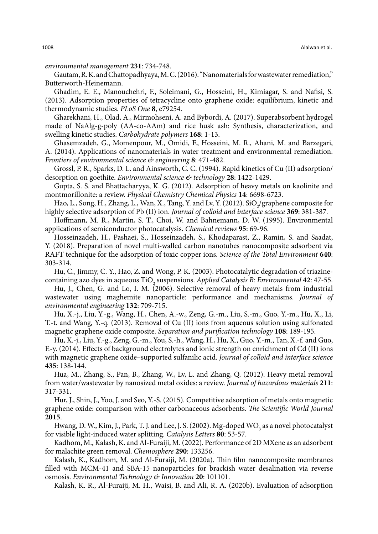*environmental management* **231**: 734-748.

Gautam, R. K. and Chattopadhyaya, M. C. (2016). "Nanomaterials for wastewater remediation," Butterworth-Heinemann.

Ghadim, E. E., Manouchehri, F., Soleimani, G., Hosseini, H., Kimiagar, S. and Nafisi, S. (2013). Adsorption properties of tetracycline onto graphene oxide: equilibrium, kinetic and thermodynamic studies. *PLoS One* **8**, e79254.

Gharekhani, H., Olad, A., Mirmohseni, A. and Bybordi, A. (2017). Superabsorbent hydrogel made of NaAlg-g-poly (AA-co-AAm) and rice husk ash: Synthesis, characterization, and swelling kinetic studies. *Carbohydrate polymers* **168**: 1-13.

Ghasemzadeh, G., Momenpour, M., Omidi, F., Hosseini, M. R., Ahani, M. and Barzegari, A. (2014). Applications of nanomaterials in water treatment and environmental remediation. *Frontiers of environmental science & engineering* **8**: 471-482.

Grossl, P. R., Sparks, D. L. and Ainsworth, C. C. (1994). Rapid kinetics of Cu (II) adsorption/ desorption on goethite. *Environmental science & technology* **28**: 1422-1429.

Gupta, S. S. and Bhattacharyya, K. G. (2012). Adsorption of heavy metals on kaolinite and montmorillonite: a review. *Physical Chemistry Chemical Physics* **14**: 6698-6723.

Hao, L., Song, H., Zhang, L., Wan, X., Tang, Y. and Lv, Y. (2012). SiO<sub>2</sub>/graphene composite for highly selective adsorption of Pb (II) ion. *Journal of colloid and interface science* **369**: 381-387.

Hoffmann, M. R., Martin, S. T., Choi, W. and Bahnemann, D. W. (1995). Environmental applications of semiconductor photocatalysis. *Chemical reviews* **95**: 69-96.

Hosseinzadeh, H., Pashaei, S., Hosseinzadeh, S., Khodaparast, Z., Ramin, S. and Saadat, Y. (2018). Preparation of novel multi-walled carbon nanotubes nanocomposite adsorbent via RAFT technique for the adsorption of toxic copper ions. *Science of the Total Environment* **640**: 303-314.

Hu, C., Jimmy, C. Y., Hao, Z. and Wong, P. K. (2003). Photocatalytic degradation of triazinecontaining azo dyes in aqueous TiO<sub>2</sub> suspensions. *Applied Catalysis B: Environmental* 42: 47-55.

Hu, J., Chen, G. and Lo, I. M. (2006). Selective removal of heavy metals from industrial wastewater using maghemite nanoparticle: performance and mechanisms. *Journal of environmental engineering* **132**: 709-715.

Hu, X.-j., Liu, Y.-g., Wang, H., Chen, A.-w., Zeng, G.-m., Liu, S.-m., Guo, Y.-m., Hu, X., Li, T.-t. and Wang, Y.-q. (2013). Removal of Cu (II) ions from aqueous solution using sulfonated magnetic graphene oxide composite. *Separation and purification technology* **108**: 189-195.

Hu, X.-j., Liu, Y.-g., Zeng, G.-m., You, S.-h., Wang, H., Hu, X., Guo, Y.-m., Tan, X.-f. and Guo, F.-y. (2014). Effects of background electrolytes and ionic strength on enrichment of Cd (II) ions with magnetic graphene oxide–supported sulfanilic acid. *Journal of colloid and interface science* **435**: 138-144.

Hua, M., Zhang, S., Pan, B., Zhang, W., Lv, L. and Zhang, Q. (2012). Heavy metal removal from water/wastewater by nanosized metal oxides: a review. *Journal of hazardous materials* **211**: 317-331.

Hur, J., Shin, J., Yoo, J. and Seo, Y.-S. (2015). Competitive adsorption of metals onto magnetic graphene oxide: comparison with other carbonaceous adsorbents. *The Scientific World Journal* **2015**.

Hwang, D. W., Kim, J., Park, T. J. and Lee, J. S. (2002). Mg-doped  $\rm{WO}_{_3}$  as a novel photocatalyst for visible light-induced water splitting. *Catalysis Letters* **80**: 53-57.

Kadhom, M., Kalash, K. and Al-Furaiji, M. (2022). Performance of 2D MXene as an adsorbent for malachite green removal. *Chemosphere* **290**: 133256.

Kalash, K., Kadhom, M. and Al-Furaiji, M. (2020a). Thin film nanocomposite membranes filled with MCM-41 and SBA-15 nanoparticles for brackish water desalination via reverse osmosis. *Environmental Technology & Innovation* **20**: 101101.

Kalash, K. R., Al-Furaiji, M. H., Waisi, B. and Ali, R. A. (2020b). Evaluation of adsorption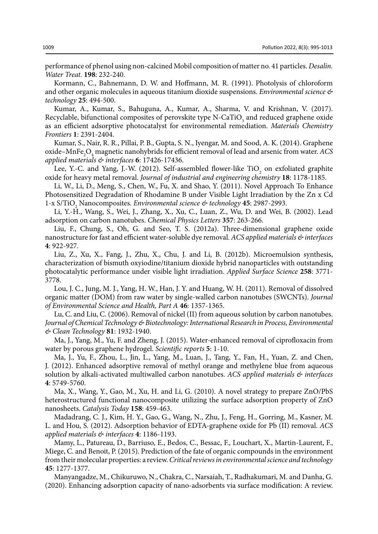performance of phenol using non-calcined Mobil composition of matter no. 41 particles. *Desalin. Water Treat.* **198**: 232-240.

Kormann, C., Bahnemann, D. W. and Hoffmann, M. R. (1991). Photolysis of chloroform and other organic molecules in aqueous titanium dioxide suspensions. *Environmental science & technology* **25**: 494-500.

Kumar, A., Kumar, S., Bahuguna, A., Kumar, A., Sharma, V. and Krishnan, V. (2017). Recyclable, bifunctional composites of perovskite type N-CaTiO<sub>3</sub> and reduced graphene oxide as an efficient adsorptive photocatalyst for environmental remediation. *Materials Chemistry Frontiers* **1**: 2391-2404.

Kumar, S., Nair, R. R., Pillai, P. B., Gupta, S. N., Iyengar, M. and Sood, A. K. (2014). Graphene oxide–MnFe<sub>2</sub>O<sub>4</sub> magnetic nanohybrids for efficient removal of lead and arsenic from water. *ACS applied materials & interfaces* **6**: 17426-17436.

Lee, Y.-C. and Yang, J.-W. (2012). Self-assembled flower-like  $TiO<sub>2</sub>$  on exfoliated graphite oxide for heavy metal removal. *Journal of industrial and engineering chemistry* **18**: 1178-1185.

Li, W., Li, D., Meng, S., Chen, W., Fu, X. and Shao, Y. (2011). Novel Approach To Enhance Photosensitized Degradation of Rhodamine B under Visible Light Irradiation by the Zn x Cd 1-x S/TiO2 Nanocomposites. *Environmental science & technology* **45**: 2987-2993.

Li, Y.-H., Wang, S., Wei, J., Zhang, X., Xu, C., Luan, Z., Wu, D. and Wei, B. (2002). Lead adsorption on carbon nanotubes. *Chemical Physics Letters* **357**: 263-266.

Liu, F., Chung, S., Oh, G. and Seo, T. S. (2012a). Three-dimensional graphene oxide nanostructure for fast and efficient water-soluble dye removal. *ACS applied materials & interfaces* **4**: 922-927.

Liu, Z., Xu, X., Fang, J., Zhu, X., Chu, J. and Li, B. (2012b). Microemulsion synthesis, characterization of bismuth oxyiodine/titanium dioxide hybrid nanoparticles with outstanding photocatalytic performance under visible light irradiation. *Applied Surface Science* **258**: 3771- 3778.

Lou, J. C., Jung, M. J., Yang, H. W., Han, J. Y. and Huang, W. H. (2011). Removal of dissolved organic matter (DOM) from raw water by single-walled carbon nanotubes (SWCNTs). *Journal of Environmental Science and Health, Part A* **46**: 1357-1365.

Lu, C. and Liu, C. (2006). Removal of nickel (II) from aqueous solution by carbon nanotubes. *Journal of Chemical Technology & Biotechnology: International Research in Process, Environmental & Clean Technology* **81**: 1932-1940.

Ma, J., Yang, M., Yu, F. and Zheng, J. (2015). Water-enhanced removal of ciprofloxacin from water by porous graphene hydrogel. *Scientific reports* **5**: 1-10.

Ma, J., Yu, F., Zhou, L., Jin, L., Yang, M., Luan, J., Tang, Y., Fan, H., Yuan, Z. and Chen, J. (2012). Enhanced adsorptive removal of methyl orange and methylene blue from aqueous solution by alkali-activated multiwalled carbon nanotubes. *ACS applied materials & interfaces* **4**: 5749-5760.

Ma, X., Wang, Y., Gao, M., Xu, H. and Li, G. (2010). A novel strategy to prepare ZnO/PbS heterostructured functional nanocomposite utilizing the surface adsorption property of ZnO nanosheets. *Catalysis Today* **158**: 459-463.

Madadrang, C. J., Kim, H. Y., Gao, G., Wang, N., Zhu, J., Feng, H., Gorring, M., Kasner, M. L. and Hou, S. (2012). Adsorption behavior of EDTA-graphene oxide for Pb (II) removal. *ACS applied materials & interfaces* **4**: 1186-1193.

Mamy, L., Patureau, D., Barriuso, E., Bedos, C., Bessac, F., Louchart, X., Martin-Laurent, F., Miege, C. and Benoit, P. (2015). Prediction of the fate of organic compounds in the environment from their molecular properties: a review. *Critical reviews in environmental science and technology* **45**: 1277-1377.

Manyangadze, M., Chikuruwo, N., Chakra, C., Narsaiah, T., Radhakumari, M. and Danha, G. (2020). Enhancing adsorption capacity of nano-adsorbents via surface modification: A review.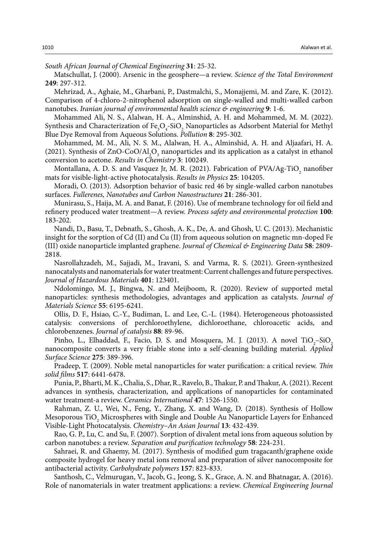*South African Journal of Chemical Engineering* **31**: 25-32.

Matschullat, J. (2000). Arsenic in the geosphere—a review. *Science of the Total Environment* **249**: 297-312.

Mehrizad, A., Aghaie, M., Gharbani, P., Dastmalchi, S., Monajjemi, M. and Zare, K. (2012). Comparison of 4-chloro-2-nitrophenol adsorption on single-walled and multi-walled carbon nanotubes. *Iranian journal of environmental health science & engineering* **9**: 1-6.

Mohammed Ali, N. S., Alalwan, H. A., Alminshid, A. H. and Mohammed, M. M. (2022). Synthesis and Characterization of  $Fe_{3}O_{4}$ -SiO<sub>2</sub> Nanoparticles as Adsorbent Material for Methyl Blue Dye Removal from Aqueous Solutions. *Pollution* **8**: 295-302.

Mohammed, M. M., Ali, N. S. M., Alalwan, H. A., Alminshid, A. H. and Aljaafari, H. A. (2021). Synthesis of  $ZnO$ -CoO/Al<sub>2</sub>O<sub>3</sub> nanoparticles and its application as a catalyst in ethanol conversion to acetone. *Results in Chemistry* **3**: 100249.

Montallana, A. D. S. and Vasquez Jr, M. R. (2021). Fabrication of  $PVA/Ag-TiO<sub>2</sub>$  nanofiber mats for visible-light-active photocatalysis. *Results in Physics* **25**: 104205.

Moradi, O. (2013). Adsorption behavior of basic red 46 by single-walled carbon nanotubes surfaces. *Fullerenes, Nanotubes and Carbon Nanostructures* **21**: 286-301.

Munirasu, S., Haija, M. A. and Banat, F. (2016). Use of membrane technology for oil field and refinery produced water treatment—A review. *Process safety and environmental protection* **100**: 183-202.

Nandi, D., Basu, T., Debnath, S., Ghosh, A. K., De, A. and Ghosh, U. C. (2013). Mechanistic insight for the sorption of Cd (II) and Cu (II) from aqueous solution on magnetic mn-doped Fe (III) oxide nanoparticle implanted graphene. *Journal of Chemical & Engineering Data* **58**: 2809- 2818.

Nasrollahzadeh, M., Sajjadi, M., Iravani, S. and Varma, R. S. (2021). Green-synthesized nanocatalysts and nanomaterials for water treatment: Current challenges and future perspectives. *Journal of Hazardous Materials* **401**: 123401.

Ndolomingo, M. J., Bingwa, N. and Meijboom, R. (2020). Review of supported metal nanoparticles: synthesis methodologies, advantages and application as catalysts. *Journal of Materials Science* **55**: 6195-6241.

Ollis, D. F., Hsiao, C.-Y., Budiman, L. and Lee, C.-L. (1984). Heterogeneous photoassisted catalysis: conversions of perchloroethylene, dichloroethane, chloroacetic acids, and chlorobenzenes. *Journal of catalysis* **88**: 89-96.

Pinho, L., Elhaddad, F., Facio, D. S. and Mosquera, M. J. (2013). A novel  $\text{TiO}_2\text{-SiO}_2$ nanocomposite converts a very friable stone into a self-cleaning building material. *Applied Surface Science* **275**: 389-396.

Pradeep, T. (2009). Noble metal nanoparticles for water purification: a critical review. *Thin solid films* **517**: 6441-6478.

Punia, P., Bharti, M. K., Chalia, S., Dhar, R., Ravelo, B., Thakur, P. and Thakur, A. (2021). Recent advances in synthesis, characterization, and applications of nanoparticles for contaminated water treatment-a review. *Ceramics International* **47**: 1526-1550.

Rahman, Z. U., Wei, N., Feng, Y., Zhang, X. and Wang, D. (2018). Synthesis of Hollow Mesoporous  $\text{TiO}_2$  Microspheres with Single and Double Au Nanoparticle Layers for Enhanced Visible‐Light Photocatalysis. *Chemistry–An Asian Journal* **13**: 432-439.

Rao, G. P., Lu, C. and Su, F. (2007). Sorption of divalent metal ions from aqueous solution by carbon nanotubes: a review. *Separation and purification technology* **58**: 224-231.

Sahraei, R. and Ghaemy, M. (2017). Synthesis of modified gum tragacanth/graphene oxide composite hydrogel for heavy metal ions removal and preparation of silver nanocomposite for antibacterial activity. *Carbohydrate polymers* **157**: 823-833.

Santhosh, C., Velmurugan, V., Jacob, G., Jeong, S. K., Grace, A. N. and Bhatnagar, A. (2016). Role of nanomaterials in water treatment applications: a review. *Chemical Engineering Journal*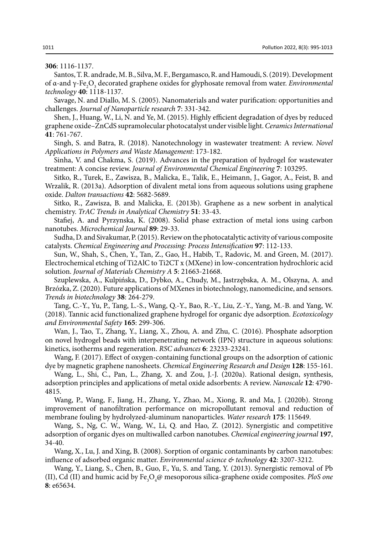**306**: 1116-1137.

Santos, T. R. andrade, M. B., Silva, M. F., Bergamasco, R. and Hamoudi, S. (2019). Development of α-and γ-Fe<sub>2</sub>O<sub>3</sub> decorated graphene oxides for glyphosate removal from water. *Environmental technology* **40**: 1118-1137.

Savage, N. and Diallo, M. S. (2005). Nanomaterials and water purification: opportunities and challenges. *Journal of Nanoparticle research* **7**: 331-342.

Shen, J., Huang, W., Li, N. and Ye, M. (2015). Highly efficient degradation of dyes by reduced graphene oxide–ZnCdS supramolecular photocatalyst under visible light. *Ceramics International* **41**: 761-767.

Singh, S. and Batra, R. (2018). Nanotechnology in wastewater treatment: A review. *Novel Applications in Polymers and Waste Management*: 173-182.

Sinha, V. and Chakma, S. (2019). Advances in the preparation of hydrogel for wastewater treatment: A concise review. *Journal of Environmental Chemical Engineering* **7**: 103295.

Sitko, R., Turek, E., Zawisza, B., Malicka, E., Talik, E., Heimann, J., Gagor, A., Feist, B. and Wrzalik, R. (2013a). Adsorption of divalent metal ions from aqueous solutions using graphene oxide. *Dalton transactions* **42**: 5682-5689.

Sitko, R., Zawisza, B. and Malicka, E. (2013b). Graphene as a new sorbent in analytical chemistry. *TrAC Trends in Analytical Chemistry* **51**: 33-43.

Stafiej, A. and Pyrzynska, K. (2008). Solid phase extraction of metal ions using carbon nanotubes. *Microchemical Journal* **89**: 29-33.

Sudha, D. and Sivakumar, P. (2015). Review on the photocatalytic activity of various composite catalysts. *Chemical Engineering and Processing: Process Intensification* **97**: 112-133.

Sun, W., Shah, S., Chen, Y., Tan, Z., Gao, H., Habib, T., Radovic, M. and Green, M. (2017). Electrochemical etching of Ti2AlC to Ti2CT x (MXene) in low-concentration hydrochloric acid solution. *Journal of Materials Chemistry A* **5**: 21663-21668.

Szuplewska, A., Kulpińska, D., Dybko, A., Chudy, M., Jastrzębska, A. M., Olszyna, A. and Brzózka, Z. (2020). Future applications of MXenes in biotechnology, nanomedicine, and sensors. *Trends in biotechnology* **38**: 264-279.

Tang, C.-Y., Yu, P., Tang, L.-S., Wang, Q.-Y., Bao, R.-Y., Liu, Z.-Y., Yang, M.-B. and Yang, W. (2018). Tannic acid functionalized graphene hydrogel for organic dye adsorption. *Ecotoxicology and Environmental Safety* **165**: 299-306.

Wan, J., Tao, T., Zhang, Y., Liang, X., Zhou, A. and Zhu, C. (2016). Phosphate adsorption on novel hydrogel beads with interpenetrating network (IPN) structure in aqueous solutions: kinetics, isotherms and regeneration. *RSC advances* **6**: 23233-23241.

Wang, F. (2017). Effect of oxygen-containing functional groups on the adsorption of cationic dye by magnetic graphene nanosheets. *Chemical Engineering Research and Design* **128**: 155-161.

Wang, L., Shi, C., Pan, L., Zhang, X. and Zou, J.-J. (2020a). Rational design, synthesis, adsorption principles and applications of metal oxide adsorbents: A review. *Nanoscale* **12**: 4790- 4815.

Wang, P., Wang, F., Jiang, H., Zhang, Y., Zhao, M., Xiong, R. and Ma, J. (2020b). Strong improvement of nanofiltration performance on micropollutant removal and reduction of membrane fouling by hydrolyzed-aluminum nanoparticles. *Water research* **175**: 115649.

Wang, S., Ng, C. W., Wang, W., Li, Q. and Hao, Z. (2012). Synergistic and competitive adsorption of organic dyes on multiwalled carbon nanotubes. *Chemical engineering journal* **197**, 34-40.

Wang, X., Lu, J. and Xing, B. (2008). Sorption of organic contaminants by carbon nanotubes: influence of adsorbed organic matter. *Environmental science & technology* **42**: 3207-3212.

Wang, Y., Liang, S., Chen, B., Guo, F., Yu, S. and Tang, Y. (2013). Synergistic removal of Pb (II), Cd (II) and humic acid by Fe<sub>3</sub>O<sub>4</sub>@ mesoporous silica-graphene oxide composites. *PloS one* **8**: e65634.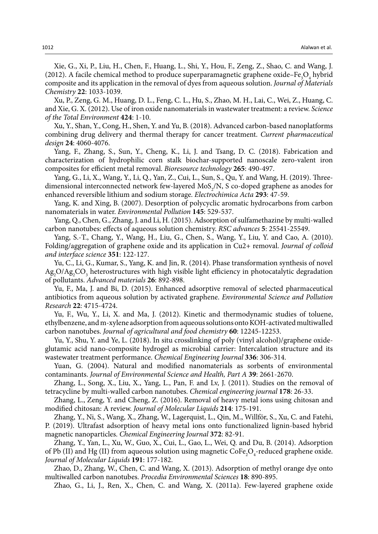Xie, G., Xi, P., Liu, H., Chen, F., Huang, L., Shi, Y., Hou, F., Zeng, Z., Shao, C. and Wang, J. (2012). A facile chemical method to produce superparamagnetic graphene oxide–Fe<sub>3</sub>O<sub>4</sub> hybrid composite and its application in the removal of dyes from aqueous solution. *Journal of Materials Chemistry* **22**: 1033-1039.

Xu, P., Zeng, G. M., Huang, D. L., Feng, C. L., Hu, S., Zhao, M. H., Lai, C., Wei, Z., Huang, C. and Xie, G. X. (2012). Use of iron oxide nanomaterials in wastewater treatment: a review. *Science of the Total Environment* **424**: 1-10.

Xu, Y., Shan, Y., Cong, H., Shen, Y. and Yu, B. (2018). Advanced carbon-based nanoplatforms combining drug delivery and thermal therapy for cancer treatment. *Current pharmaceutical design* **24**: 4060-4076.

Yang, F., Zhang, S., Sun, Y., Cheng, K., Li, J. and Tsang, D. C. (2018). Fabrication and characterization of hydrophilic corn stalk biochar-supported nanoscale zero-valent iron composites for efficient metal removal. *Bioresource technology* **265**: 490-497.

Yang, G., Li, X., Wang, Y., Li, Q., Yan, Z., Cui, L., Sun, S., Qu, Y. and Wang, H. (2019). Threedimensional interconnected network few-layered  $MoS_2/N$ , S co-doped graphene as anodes for enhanced reversible lithium and sodium storage. *Electrochimica Acta* **293**: 47-59.

Yang, K. and Xing, B. (2007). Desorption of polycyclic aromatic hydrocarbons from carbon nanomaterials in water. *Environmental Pollution* **145**: 529-537.

Yang, Q., Chen, G., Zhang, J. and Li, H. (2015). Adsorption of sulfamethazine by multi-walled carbon nanotubes: effects of aqueous solution chemistry. *RSC advances* **5**: 25541-25549.

Yang, S.-T., Chang, Y., Wang, H., Liu, G., Chen, S., Wang, Y., Liu, Y. and Cao, A. (2010). Folding/aggregation of graphene oxide and its application in Cu2+ removal. *Journal of colloid and interface science* **351**: 122-127.

Yu, C., Li, G., Kumar, S., Yang, K. and Jin, R. (2014). Phase transformation synthesis of novel Ag<sub>2</sub>O/Ag<sub>2</sub>CO<sub>3</sub> heterostructures with high visible light efficiency in photocatalytic degradation of pollutants. *Advanced materials* **26**: 892-898.

Yu, F., Ma, J. and Bi, D. (2015). Enhanced adsorptive removal of selected pharmaceutical antibiotics from aqueous solution by activated graphene. *Environmental Science and Pollution Research* **22**: 4715-4724.

Yu, F., Wu, Y., Li, X. and Ma, J. (2012). Kinetic and thermodynamic studies of toluene, ethylbenzene, and m-xylene adsorption from aqueous solutions onto KOH-activated multiwalled carbon nanotubes. *Journal of agricultural and food chemistry* **60**: 12245-12253.

Yu, Y., Shu, Y. and Ye, L. (2018). In situ crosslinking of poly (vinyl alcohol)/graphene oxideglutamic acid nano-composite hydrogel as microbial carrier: Intercalation structure and its wastewater treatment performance. *Chemical Engineering Journal* **336**: 306-314.

Yuan, G. (2004). Natural and modified nanomaterials as sorbents of environmental contaminants. *Journal of Environmental Science and Health, Part A* **39**: 2661-2670.

Zhang, L., Song, X., Liu, X., Yang, L., Pan, F. and Lv, J. (2011). Studies on the removal of tetracycline by multi-walled carbon nanotubes. *Chemical engineering journal* **178**: 26-33.

Zhang, L., Zeng, Y. and Cheng, Z. (2016). Removal of heavy metal ions using chitosan and modified chitosan: A review. *Journal of Molecular Liquids* **214**: 175-191.

Zhang, Y., Ni, S., Wang, X., Zhang, W., Lagerquist, L., Qin, M., Willför, S., Xu, C. and Fatehi, P. (2019). Ultrafast adsorption of heavy metal ions onto functionalized lignin-based hybrid magnetic nanoparticles. *Chemical Engineering Journal* **372**: 82-91.

Zhang, Y., Yan, L., Xu, W., Guo, X., Cui, L., Gao, L., Wei, Q. and Du, B. (2014). Adsorption of Pb (II) and Hg (II) from aqueous solution using magnetic  $\text{CoFe}_2\text{O}_4$ -reduced graphene oxide. *Journal of Molecular Liquids* **191**: 177-182.

Zhao, D., Zhang, W., Chen, C. and Wang, X. (2013). Adsorption of methyl orange dye onto multiwalled carbon nanotubes. *Procedia Environmental Sciences* **18**: 890-895.

Zhao, G., Li, J., Ren, X., Chen, C. and Wang, X. (2011a). Few-layered graphene oxide